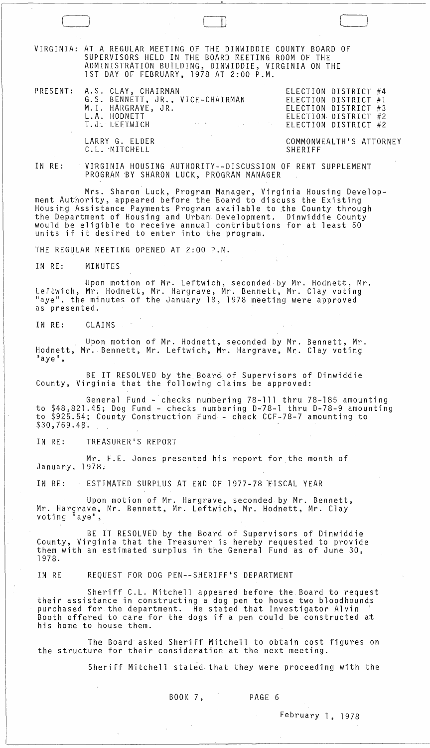[ J ! ) [- VIRGINIA: AT A REGULAR MEETING OF THE D.INWIDDIE COUNTY BOARD OF SUPERVISORS HELD IN THE BOARD MEETING ROOM OF THE ADMINISTRATION BUILDING, DINWIDDIE, VIRGINIA ON THE 1ST DAY OF FEBRUARY, 1978 AT 2:00 P.M. PRESENT: A.S. CLAY, CHAIRMAN ELECTION DISTRICT #4 ELECTION DISTRICT #1 ELECTION DISTRICT #3 ELECTION DISTRICT #2 ELECTION DISTRICT #2 IN RE: G.S. BENNETT, JR., VICE-CHAIRMAN M.l. HARGRAVE, JR. L.A. HODNETT T. J. LEFTW.I G.H LARRY G. ELDER C.L. MITCHELL COMMONWEALTH'S ATTORNEY SHERIFF VIRGINIA HOUSING AUTHORITY--DISCUSSION OF RENT SUPPLEMENT PROGRAM 'BY SHARON LUCK, PROGRAM MANAGER Mrs. Sharon Luck, Program Manager, Virginia Housing Development Authority, appeared before the Board to discuss the Existing Housing Assistance Payments Program available to the County through<br>the Department of Housing and Urban Development. Dinwiddie County would be eligible to receive annual contributions for at least 50 units if it desired to enter into the program. THE REGULAR MEETING OPENED AT 2:00 P.M. IN RE: MINUTES Upon motion of Mr. Leftwich, seconded· by Mr. Hodnett, Mr. Leftwich, Mr. Hodnett, Mr. Hargrave, Mr. Bennett, Mr. Clay voting "aye", the minutes of the January 18, 1978 meeting were approved as presented. IN RE: CLAIMS Upon motion of Mr. Hodnett, seconded by Mr. Bennett, Mr. Hodnett, Mr. Bennett, Mr. Leftwich, Mr. Hargrave, Mr. Clay voting "aye", BE IT RESOLVED by the Board of Supervisors of Dinwiddie County, Virginia that the following claims be approved: General Fund - checks numbering 78-111 thru 78-185 amounting to \$48,821.45; Dog Fund - checks numbering 0-78-1 thru 0-78-9 amounting to \$925.54; County Construction Fund - check CCF-78-7 amounting to \$30,769.48. IN RE: TREASURER'S REPORT Mr. F.E. Jones presented his report for the month of January, 1978. IN RE: ESTIMATED SURPLUS AT END OF 1977-78 'FISCAL YEAR Upon motion of Mr. Hargrave, seconded by Mr. Bennett, Mr. Hargrave, Mr. Bennett, Mr. Leftwich, Mr. Hodnett, Mr. Clay<br>voting "aye", BE IT RESOLVED by the Board of Supervisors of Dinwiddie County, Virginia that the Treasurer is hereby requested to provide them with an estimated surplus in the General Fund as of June 30, 1978. IN RE REQUEST FOR DOG PEN--SHERIFF'S DEPARTMENT Sheriff C.L. Mitchell appeared before the.Board to request their assistance in constructing a dog pen to house two bloodhounds purchased for the department. He stated that Investigator Alvin Booth offered to care for the dogs if a pen could be constructed at his home to house them. The Board asked Sheriff Mitchell to obtain cost figures on the structure for their consideration at the next meeting. Sheriff Mitchell stated that they were proceeding with the BOOK 7, PAGE 6

February 1, 1978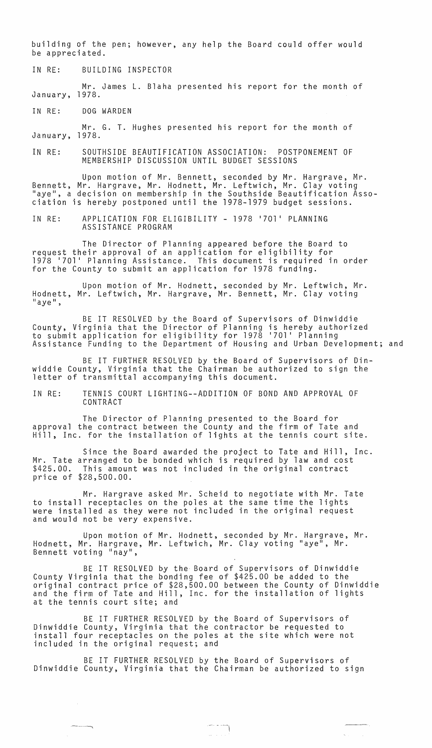building of the pen; however, any help the Board could offer would be appreciated.

IN RE: BUILDING INSPECTOR

Mr. James L. Blaha presented his report for the month of January, 1978.

IN RE: DOG WARDEN

~-~-- ------,

Mr. G. T. Hughes presented his report for the month of January, 1978.

IN RE: SOUTHSIDE BEAUTIFICATION ASSOCIATION: POSTPONEMENT OF MEMBERSHIP DISCUSSION UNTIL BUDGET SESSIONS

Upon motion of Mr. Bennett, seconded by Mr. Hargrave, Mr. Bennett, Mr. Hargrave, Mr. Hodnett, Mr. Leftwich, Mr. Clay voting "aye", a decision on membership in the Southside Beautification Association is hereby postponed until the 1978-1979 budget sessions.

IN RE: APPLICATION FOR ELIGIBILITY - 1978 '701' PLANNING ASSISTANCE PROGRAM

The Director of Planning appeared before the Board to request their approval of an application for eligibility for 1978 17011 Planning Assistance. This document is required in order for the County to submit an application for 1978 funding.

Upon motion of Mr. Hodnett, seconded by Mr. Leftwich, Mr. Hodnett, Mr. Leftwich, Mr. Hargrave, Mr. Bennett, Mr. Clay voting "aye",

BE IT RESOLVED by the Board of Supervisors of Dinwiddie County, Virginia that the Director of Planning is hereby authorized to submit application for eligibility for 1978 17011 Planning Assistance Funding to the Department of Housing and Urban Development; and

BE IT FURTHER RESOLVED by the Board of Supervisors of Dinwiddie County, Virginia that the Chairman be authorized to sign the letter of transmittal accompanying this document.

IN RE: TENNIS COURT LIGHTING--ADDITION OF BOND AND APPROVAL OF CONTRACT

The Director of Planning presented to the Board for approval the contract between the County and the firm of Tate and Hill, Inc. for the installation of lights at the tennis court site.

Mr. Tate \$425.00. price of \$28,500.00. Since the Board awarded the project to Tate and Hill, Inc. arranged to be bonded which is required by law and cost This amount was not included in the original contract

Mr. Hargrave asked Mr. Scheid to negotiate with Mr. Tate to install receptacles on the poles at the same time the lights were installed as they were not included in the original request and would not be very expensive.

Upon motion of Mr. Hodnett, seconded by Mr. Hargrave, Mr. Hodnett, Mr. Hargrave, Mr. Leftwich, Mr. Clay voting "aye", Mr. Bennett voting "nay",

BE IT RESOLVED by the Board of Supervisors of Dinwiddie County Virginia that the bonding fee of \$425.00 be added to the original contract price of \$28,500.00 between the County of Dinwiddie and the firm of Tate and Hill, Inc. for the installation of lights at the tennis court site; and

BE IT FURTHER RESOLVED by the Board of Supervisors of Dinwiddie County, Virginia that the contractor be requested to install four receptacles on the poles at the site which were not included in the original request; and

BE IT FURTHER RESOLVED by the Board of Supervisors of Dinwiddie County, Virginia that the Chairman be authorized to sign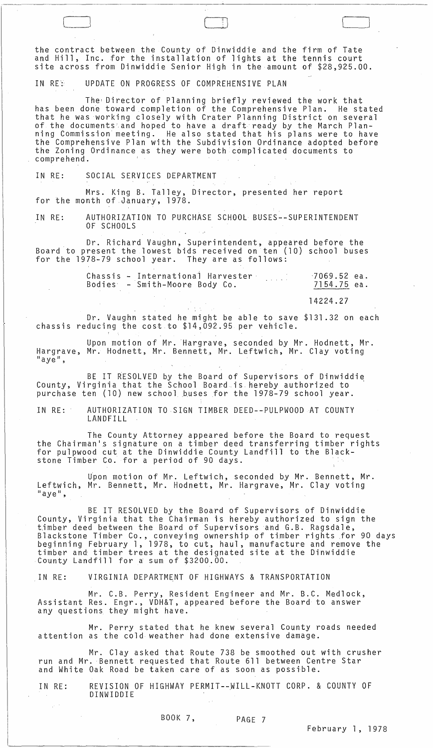the contract between the County of Dinwiddie and the firm of Tate and Hill, Inc. for the installation of lights at the tennis court site across from Dinwiddie Senior High in the amount of \$28,925.00.

C~\_J --<sup>J</sup>

IN RES UPDATE ON PROGRESS OF COMPREHENSIVE PLAN

The Director of Planning briefly reviewed the work that has been done toward completion of the Comprehensive Plan. He stated that he was working closely with Crater Planning District on several of the documents'and hoped to have a draft ready by the March Planning Commission meeting. He also stated that his plans were to have the Comprehensive Plan with the Subdivision Ordinance adopted before the Zoning Ordinance as they were both complicated documents to comprehend.

IN RE: SOCIAL SERVICES DEPARTMENT

Mrs. King B. Talley, Director, presented her report for the month of January, 1978.

IN RE: AUTHORIZATION TO PURCHASE SCHOOL BUSES--SUPERINTENDENT OF SCHOOLS

. Dr. Richard Vaughn, Superintendent, appeared before the Board to present the lowest bids received on ten (10) school buses for the 1978-79 school year. They are as follows:

|  | Chassis - International Harvester | $-7069.52$ ea. |  |
|--|-----------------------------------|----------------|--|
|  | Bodies – Smith-Moore Body Co.     | 7154.75 ea.    |  |

14224.27

Dr. Vaughn stated he might be able to save \$131.32 on each chassis reducing the cost to \$14,092.95 per vehicle.

 $\sim 10^{-1}$  M  $_\odot$ 

Upon motion of Mr. Hargrave, seconded by Mr. Hodnett, Mr. Hargrave, Mr. Hodnett, Mr. Bennett, Mr. Leftwich, Mr. Clay voting<br>"aye",

BE IT RESOLVED by the Board of Supervisors of Dinwiddie County, Virginia that the School Board is hereby authorized to ' purchase ten (10) new school buses for the 1978-79 school year.

IN RE: AUTHORIZATION TO SIGN TIMBER DEED--PULPWOODAT COUNTY LANDFILL

The County Attorney appeared before the Board to request the Chairman's signature on a timber deed transferring timber rights for pulpwood cut at the Dinwiddie County Landfill to the Blackstone Timber Co. for a period of 90 days.

Upon motion of Mr. Leftwich, seconded by Mr. Bennett, Mr. Leftwich, Mr. Bennett, Mr. Hodnett, Mr. Hargrave, Mr. Clay voting<br>"aye",

BE IT RESOLVED by the Board of Supervisors of Dinwiddie County, Virginia that the Chairman is hereby authorized to sign the timber deed between the Board of Supervisors and G.B. Ragsdale, Blackstone Timber Co., conveying ownership of timber rights for 90 days beginning February 1, 1978, to cut, haul, manufacture and remove the timber and, timber trees at the designated site at the Dinwiddie County Landfill for a sum of \$3200.00.

IN RE: VIRGINIA DEPARTMENT OF HIGHWAYS & TRANSPORTATION

Mr. C.B. Perry, Resident Engineer and Mr. B.C. Medlock, Assistant Res. Engr., VDH&T, appeared before the Board to answer any questions they might have.

Mr. Perry stated that he knew several County roads needed attention as the cold weather had done extensive damage.

Mr. Clay asked that Route 738 be smoothed out with crusher run and Mr. Bennett requested that Route 611 between Centre Star and White Oak Road be taken care of as soon as possible.

 $\omega^{-1}$ 

 $\sim 10^7$ 

IN RE: REVISION OF HIGHWAY PERMIT--WILL-KNOTT CORP. & COUNTY OF DINWIDDIE

BOOK 7, PAGE 7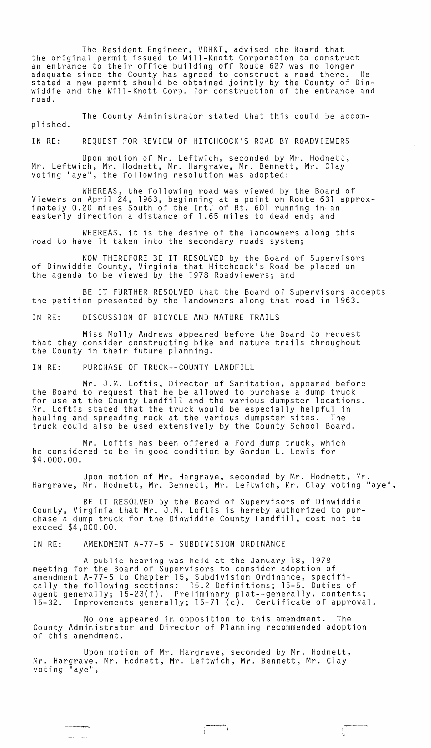The Resident Engineer, VDH&T, advised the Board that the original permit issued to Will-Knott Corporation to construct an entrance to their office building off Route 627 was no longer adequate since the County has agreed to construct a road there. He stated a new permit should be obtained jointly by the County of Dinwiddie and the Will-Knott Corp. for construction of the entrance and road.

The County Administrator stated that this could be accomplished.

IN RE: REQUEST FOR REVIEW OF HITCHCOCK'S ROAD BY ROADVIEWERS

Upon motion of Mr. Leftwich, seconded by Mr. Hodnett, Mr. Leftwich, Mr. Hodnett, Mr. Hargrave, Mr. Bennett, Mr. Clay voting "aye", the following resolution was adopted:

WHEREAS, the following road was viewed by the Board of Viewers on April 24, 1963, beginning at a point on Route 631 approximately 0.20 miles South of the Int. of Rt. 601 running in an easterly direction a distance of 1.65 miles to dead end; and

WHEREAS, it is the desire of the landowners along this road to have it taken into the secondary roads system;

NOW THEREFORE BE IT RESOLVED by the Board of Supervisors of Dinwiddie County, Virginia that Hitchcock's Road be placed on the agenda to be viewed by the 1978 Roadviewers; and

BE IT FURTHER RESOLVED that the Board of Supervisors accepts the petition presented by the landowners along that road in 1963.

IN RE: DISCUSSION OF BICYCLE AND NATURE TRAILS

Miss Molly Andrews appeared before the Board to request that they consider constructing bike and nature trails throughout the County in their future planning.

IN RE: PURCHASE OF TRUCK--COUNTY LANDFILL

Mr. J.M. Loftis, Director of Sanitation, appeared before the Board to request that he be allowed to purchase a dump truck for use at the County Landfill and the various dumpster locations. Mr. Loftis stated that the truck would be especially helpful in hauling and spreading rock at the various dumpster sites. truck could also be used extensively by the County School Board.

Mr. Loftis has been offered a Ford dump truck, which he considered to be in good condition by Gordon L. Lewis for \$4,000.00.

Upon motion of Mr. Hargrave, seconded by Mr. Hodnett, Mr. Hargrave, Mr. Hodnett, Mr. Bennett, Mr. Leftwich, Mr. Clay voting "aye",

BE IT RESOLVED by the Board of Supervisors of Dinwiddie County, Virginia that Mr. J.M. Loftis is hereby authorized to purchase a dump truck for the Dinwiddie County Landfill, cost not to exceed \$4,000.00.

IN RE: AMENDMENT A-77-5 - SUBDIVISION ORDINANCE

سنبور المساك

A public hearing was held at the January 18, 1978 meeting for the Board of Supervisors to consider adoption of amendment A-77-5 to Chapter 15, Subdivision Ordinance, specifically the following sections: 15.2 Definitions; 15-5. Duties of agent generally; l5-23(f). Preliminary plat--generally, contents; 15-32. Improvements generally; 15-71 (c). Certificate of approval.

No one appeared in opposition to this amendment. The County Administrator and Director of Planning recommended adoption of this amendment.

Upon motion of Mr. Hargrave, seconded by Mr. Hodnett, Mr. Hargrave, Mr. Hodnett, Mr. Leftwich, Mr. Bennett, Mr. Clay<br>voting "aye",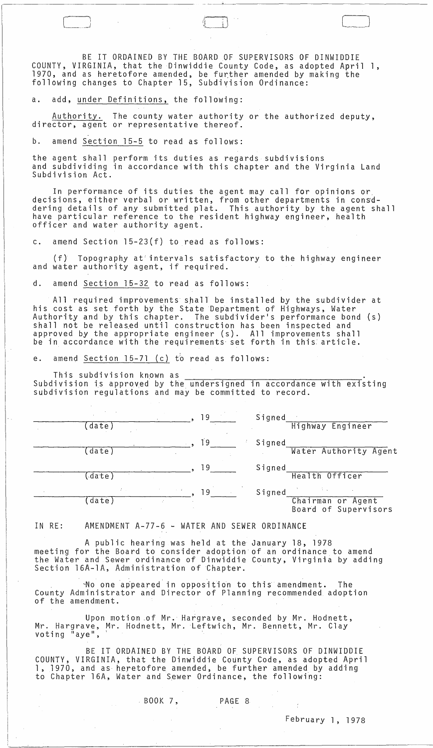BE IT ORDAINED BY THE BOARD OF SUPERVISORS OF DINWIDDIE COUNTY, VIRGINIA, that the Dinwiddie County Code, as adopted April 1, 1970, and as heretofore amended, be further amended by making the following changes to Chapter 15, Subdivision Ordinance:

 $\begin{pmatrix} \phantom{-} \end{pmatrix}$ 

a. add, under Definitions, the following:

Authority. The county water authority or the authorized deputy, director, agent or representative thereof.

b. amend Section 15-5 to read as follows:

the agent shall perform its duties as regards subdivisions and subdividing in accordance with this chapter and the Virginia Land Subdivision Act.

In performance of its duties the agent may call for opinions or decisions, either verbal or written, from other departments in consddering details of any submitted plat. This authority by the agent shall have particular reference to the resident highway engineer, health officer and water authority agent.

c. amend Section 15-23(f) to read as follows:

(f) Topography at' intervals satisfactory to the highway engineer and water authority agent, if required.

d. amend Section 15-32 to read as follows:

All required improvements shall be installed by the subdivider at his cost as set forth by the State Department of Highways, Water Authority and by this chapter. The subdivider's performance bond (s) shall not be released until construction has been inspected and approved by the appropriate engineer (s). All improvements shall be in accordance with the requirements set forth in this article.

e. amend Section  $15-71$  (c) to read as follows:

This subdivision known as

Subdivision is approved by the undersigned in accordance with existing subdivision regulations and may be committed to record.

|        | 19                | Signed |                                           |
|--------|-------------------|--------|-------------------------------------------|
| date)  |                   |        | Highway Engineer                          |
|        | 19                | Signed |                                           |
| date)  |                   |        | Water Authority Agent                     |
|        | 19                | Signed |                                           |
| (date) |                   |        | Health Officer                            |
|        | $\sim$ $-1$<br>19 | Signed |                                           |
| (date) | ÷                 |        | Chairman or Agent<br>Board of Supervisors |

IN RE: AMENDMENT A-77-6 - WATER AND SEWER ORDINANCE

A public hearing was held at the January 18, 1978 meeting for the Board to consider adoption of an ordinance to amend the Water and Sewer ordinance of Dinwiddie County, Virginia by adding Section 16A-1A, Administration of Chapter.

"-No oneap'peared in opposition to this amendment. The County Administrator and Director of Planning recommended adoption of the amendment.

Upon motion .of Mr. Hargrave, seconded by Mr. Hodnett, Mr. Hargrave, Mr. Hodnett, Mr. Leftwich, Mr. Bennett, Mr. Clay<br>voting "aye",

BE IT ORDAINED BY THE BOARD OF SUPERVISORS OF DINWIDDIE COUNTY, VIRGINIA, that the Dinwiddie County Code, as adopted April 1, 1970, and as heretofore amended, be further amended by adding to Chapter 16A, Water and Sewer Ordinance, the following:

BOOK 7, PAGE 8